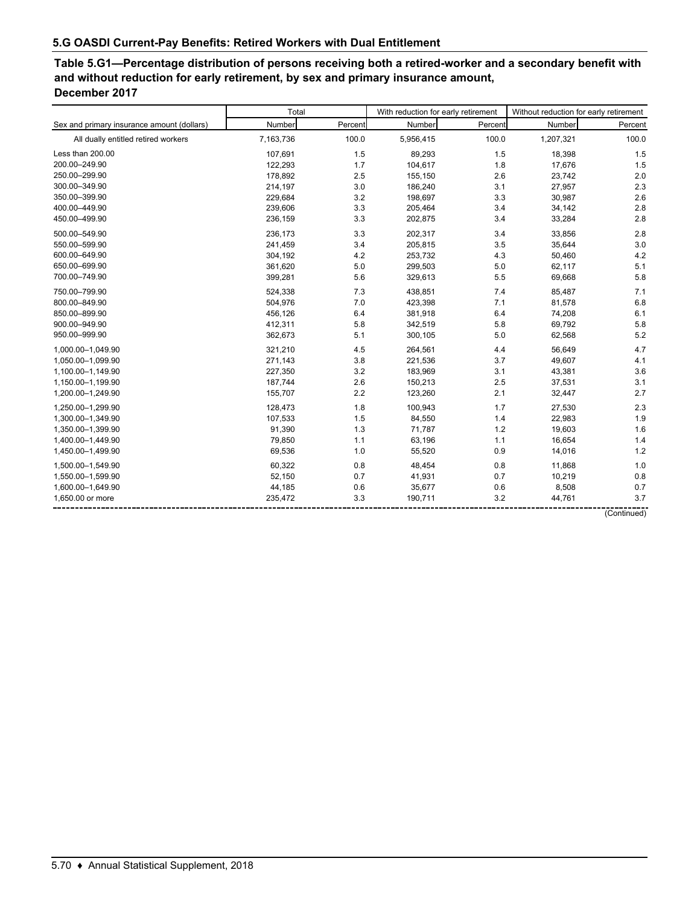**Table 5.G1—Percentage distribution of persons receiving both a retired-worker and a secondary benefit with and without reduction for early retirement, by sex and primary insurance amount, December 2017**

|                                            | Total     |         | With reduction for early retirement |         | Without reduction for early retirement |         |  |
|--------------------------------------------|-----------|---------|-------------------------------------|---------|----------------------------------------|---------|--|
| Sex and primary insurance amount (dollars) | Number    | Percent | Number                              | Percent | Number                                 | Percent |  |
| All dually entitled retired workers        | 7,163,736 | 100.0   | 5,956,415                           | 100.0   | 1,207,321                              | 100.0   |  |
| Less than 200.00                           | 107,691   | 1.5     | 89,293                              | 1.5     | 18,398                                 | 1.5     |  |
| 200.00-249.90                              | 122,293   | 1.7     | 104,617                             | 1.8     | 17,676                                 | 1.5     |  |
| 250.00-299.90                              | 178,892   | 2.5     | 155,150                             | 2.6     | 23,742                                 | 2.0     |  |
| 300.00-349.90                              | 214,197   | 3.0     | 186,240                             | 3.1     | 27,957                                 | 2.3     |  |
| 350.00-399.90                              | 229,684   | 3.2     | 198,697                             | 3.3     | 30,987                                 | 2.6     |  |
| 400.00-449.90                              | 239,606   | 3.3     | 205,464                             | 3.4     | 34,142                                 | 2.8     |  |
| 450.00-499.90                              | 236,159   | 3.3     | 202,875                             | 3.4     | 33,284                                 | 2.8     |  |
| 500.00-549.90                              | 236,173   | 3.3     | 202,317                             | 3.4     | 33,856                                 | 2.8     |  |
| 550.00-599.90                              | 241,459   | 3.4     | 205,815                             | 3.5     | 35,644                                 | 3.0     |  |
| 600.00-649.90                              | 304,192   | 4.2     | 253,732                             | 4.3     | 50,460                                 | 4.2     |  |
| 650.00-699.90                              | 361,620   | 5.0     | 299,503                             | 5.0     | 62,117                                 | 5.1     |  |
| 700.00-749.90                              | 399,281   | 5.6     | 329,613                             | 5.5     | 69,668                                 | 5.8     |  |
| 750.00-799.90                              | 524,338   | 7.3     | 438,851                             | 7.4     | 85,487                                 | 7.1     |  |
| 800.00-849.90                              | 504,976   | 7.0     | 423,398                             | 7.1     | 81,578                                 | 6.8     |  |
| 850.00-899.90                              | 456,126   | 6.4     | 381,918                             | 6.4     | 74,208                                 | 6.1     |  |
| 900.00-949.90                              | 412,311   | 5.8     | 342,519                             | 5.8     | 69,792                                 | 5.8     |  |
| 950.00-999.90                              | 362,673   | 5.1     | 300,105                             | 5.0     | 62,568                                 | 5.2     |  |
| 1.000.00-1.049.90                          | 321,210   | 4.5     | 264,561                             | 4.4     | 56,649                                 | 4.7     |  |
| 1,050.00-1,099.90                          | 271,143   | 3.8     | 221,536                             | 3.7     | 49,607                                 | 4.1     |  |
| 1,100.00-1,149.90                          | 227,350   | 3.2     | 183,969                             | 3.1     | 43,381                                 | 3.6     |  |
| 1,150.00-1,199.90                          | 187,744   | 2.6     | 150,213                             | 2.5     | 37,531                                 | 3.1     |  |
| 1,200.00-1,249.90                          | 155,707   | 2.2     | 123,260                             | 2.1     | 32,447                                 | 2.7     |  |
| 1,250.00-1,299.90                          | 128,473   | 1.8     | 100,943                             | 1.7     | 27,530                                 | 2.3     |  |
| 1,300.00-1,349.90                          | 107,533   | 1.5     | 84,550                              | 1.4     | 22,983                                 | 1.9     |  |
| 1.350.00-1.399.90                          | 91,390    | 1.3     | 71,787                              | 1.2     | 19,603                                 | 1.6     |  |
| 1,400.00-1,449.90                          | 79,850    | 1.1     | 63,196                              | 1.1     | 16,654                                 | 1.4     |  |
| 1,450.00-1,499.90                          | 69,536    | 1.0     | 55,520                              | 0.9     | 14,016                                 | 1.2     |  |
| 1,500.00-1,549.90                          | 60,322    | 0.8     | 48,454                              | 0.8     | 11,868                                 | 1.0     |  |
| 1,550.00-1,599.90                          | 52,150    | 0.7     | 41,931                              | 0.7     | 10,219                                 | 0.8     |  |
| 1,600.00-1,649.90                          | 44,185    | 0.6     | 35,677                              | 0.6     | 8,508                                  | 0.7     |  |
| 1,650.00 or more                           | 235,472   | 3.3     | 190,711                             | 3.2     | 44,761                                 | 3.7     |  |

(Continued)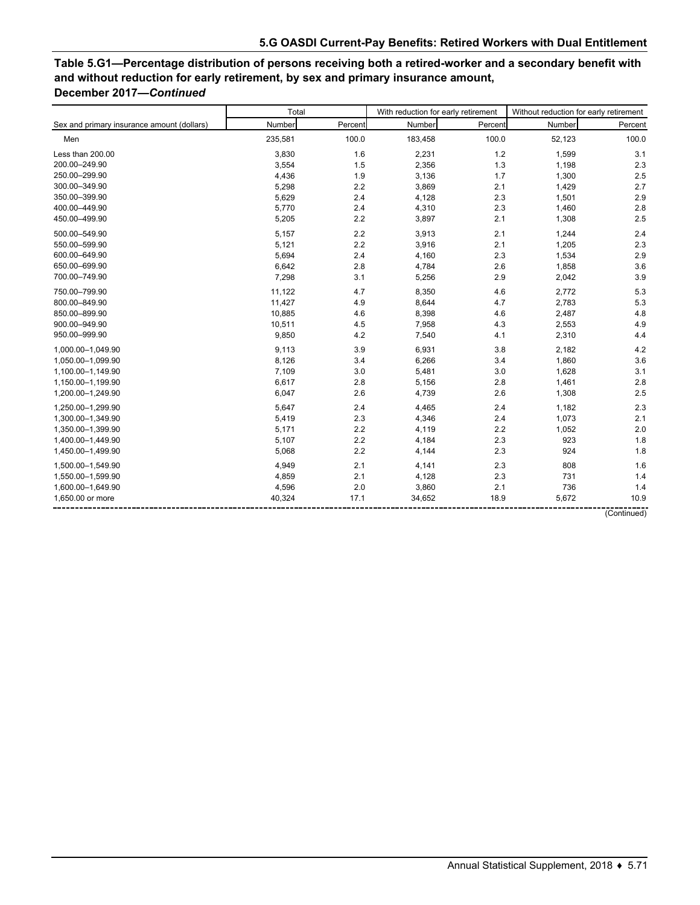# **Table 5.G1—Percentage distribution of persons receiving both a retired-worker and a secondary benefit with and without reduction for early retirement, by sex and primary insurance amount, December 2017—***Continued*

|                                            | Total   |         | With reduction for early retirement |         | Without reduction for early retirement |             |  |
|--------------------------------------------|---------|---------|-------------------------------------|---------|----------------------------------------|-------------|--|
| Sex and primary insurance amount (dollars) | Number  | Percent | Number                              | Percent | Number                                 | Percent     |  |
| Men                                        | 235,581 | 100.0   | 183,458                             | 100.0   | 52,123                                 | 100.0       |  |
| Less than 200.00                           | 3,830   | 1.6     | 2,231                               | 1.2     | 1,599                                  | 3.1         |  |
| 200.00-249.90                              | 3,554   | 1.5     | 2,356                               | 1.3     | 1,198                                  | 2.3         |  |
| 250.00-299.90                              | 4,436   | 1.9     | 3,136                               | 1.7     | 1,300                                  | 2.5         |  |
| 300.00-349.90                              | 5,298   | 2.2     | 3,869                               | 2.1     | 1,429                                  | 2.7         |  |
| 350.00-399.90                              | 5,629   | 2.4     | 4,128                               | 2.3     | 1,501                                  | 2.9         |  |
| 400.00-449.90                              | 5,770   | 2.4     | 4,310                               | 2.3     | 1,460                                  | 2.8         |  |
| 450.00-499.90                              | 5,205   | 2.2     | 3,897                               | 2.1     | 1,308                                  | 2.5         |  |
| 500.00-549.90                              | 5,157   | 2.2     | 3,913                               | 2.1     | 1,244                                  | 2.4         |  |
| 550.00-599.90                              | 5,121   | 2.2     | 3,916                               | 2.1     | 1,205                                  | 2.3         |  |
| 600.00-649.90                              | 5,694   | 2.4     | 4,160                               | 2.3     | 1,534                                  | 2.9         |  |
| 650.00-699.90                              | 6,642   | 2.8     | 4,784                               | 2.6     | 1,858                                  | 3.6         |  |
| 700.00-749.90                              | 7,298   | 3.1     | 5,256                               | 2.9     | 2,042                                  | 3.9         |  |
| 750.00-799.90                              | 11,122  | 4.7     | 8,350                               | 4.6     | 2,772                                  | 5.3         |  |
| 800.00-849.90                              | 11,427  | 4.9     | 8,644                               | 4.7     | 2,783                                  | 5.3         |  |
| 850.00-899.90                              | 10,885  | 4.6     | 8,398                               | 4.6     | 2,487                                  | 4.8         |  |
| 900.00-949.90                              | 10,511  | 4.5     | 7,958                               | 4.3     | 2,553                                  | 4.9         |  |
| 950.00-999.90                              | 9,850   | 4.2     | 7,540                               | 4.1     | 2,310                                  | 4.4         |  |
| 1,000.00-1,049.90                          | 9,113   | 3.9     | 6,931                               | 3.8     | 2,182                                  | 4.2         |  |
| 1,050.00-1,099.90                          | 8,126   | 3.4     | 6,266                               | 3.4     | 1,860                                  | 3.6         |  |
| 1,100.00-1,149.90                          | 7,109   | 3.0     | 5,481                               | 3.0     | 1,628                                  | 3.1         |  |
| 1,150.00-1,199.90                          | 6,617   | 2.8     | 5,156                               | 2.8     | 1,461                                  | 2.8         |  |
| 1,200.00-1,249.90                          | 6,047   | 2.6     | 4,739                               | 2.6     | 1,308                                  | 2.5         |  |
| 1,250.00-1,299.90                          | 5,647   | 2.4     | 4,465                               | 2.4     | 1,182                                  | 2.3         |  |
| 1,300.00-1,349.90                          | 5,419   | 2.3     | 4,346                               | 2.4     | 1,073                                  | 2.1         |  |
| 1,350.00-1,399.90                          | 5,171   | 2.2     | 4,119                               | 2.2     | 1,052                                  | 2.0         |  |
| 1,400.00-1,449.90                          | 5,107   | 2.2     | 4,184                               | 2.3     | 923                                    | 1.8         |  |
| 1,450.00-1,499.90                          | 5,068   | 2.2     | 4,144                               | 2.3     | 924                                    | 1.8         |  |
| 1,500.00-1,549.90                          | 4,949   | 2.1     | 4,141                               | 2.3     | 808                                    | 1.6         |  |
| 1,550.00-1,599.90                          | 4,859   | 2.1     | 4,128                               | 2.3     | 731                                    | 1.4         |  |
| 1,600.00-1,649.90                          | 4,596   | 2.0     | 3,860                               | 2.1     | 736                                    | 1.4         |  |
| 1,650.00 or more                           | 40,324  | 17.1    | 34,652                              | 18.9    | 5,672                                  | 10.9        |  |
|                                            |         |         |                                     |         |                                        | (Continued) |  |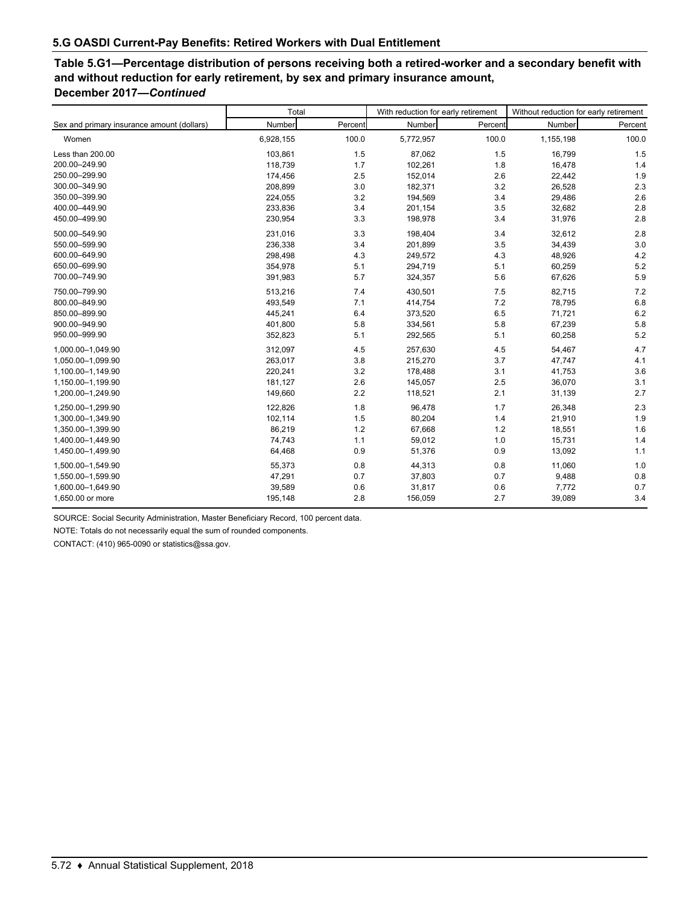# **Table 5.G1—Percentage distribution of persons receiving both a retired-worker and a secondary benefit with and without reduction for early retirement, by sex and primary insurance amount, December 2017—***Continued*

|                                            | Total     |         | With reduction for early retirement |         | Without reduction for early retirement |         |  |
|--------------------------------------------|-----------|---------|-------------------------------------|---------|----------------------------------------|---------|--|
| Sex and primary insurance amount (dollars) | Number    | Percent | Number                              | Percent | Number                                 | Percent |  |
| Women                                      | 6,928,155 | 100.0   | 5,772,957                           | 100.0   | 1,155,198                              | 100.0   |  |
| Less than 200.00                           | 103,861   | 1.5     | 87,062                              | 1.5     | 16,799                                 | 1.5     |  |
| 200.00-249.90                              | 118,739   | 1.7     | 102,261                             | 1.8     | 16,478                                 | 1.4     |  |
| 250.00-299.90                              | 174,456   | 2.5     | 152,014                             | 2.6     | 22,442                                 | 1.9     |  |
| 300.00-349.90                              | 208,899   | 3.0     | 182,371                             | 3.2     | 26,528                                 | 2.3     |  |
| 350.00-399.90                              | 224,055   | 3.2     | 194,569                             | 3.4     | 29,486                                 | 2.6     |  |
| 400.00-449.90                              | 233,836   | 3.4     | 201,154                             | 3.5     | 32,682                                 | 2.8     |  |
| 450.00-499.90                              | 230,954   | 3.3     | 198,978                             | 3.4     | 31,976                                 | 2.8     |  |
| 500.00-549.90                              | 231,016   | 3.3     | 198,404                             | 3.4     | 32,612                                 | 2.8     |  |
| 550.00-599.90                              | 236,338   | 3.4     | 201,899                             | 3.5     | 34,439                                 | 3.0     |  |
| 600.00-649.90                              | 298,498   | 4.3     | 249,572                             | 4.3     | 48,926                                 | 4.2     |  |
| 650.00-699.90                              | 354,978   | 5.1     | 294,719                             | 5.1     | 60,259                                 | 5.2     |  |
| 700.00-749.90                              | 391,983   | 5.7     | 324,357                             | 5.6     | 67,626                                 | 5.9     |  |
| 750.00-799.90                              | 513,216   | 7.4     | 430,501                             | 7.5     | 82,715                                 | 7.2     |  |
| 800.00-849.90                              | 493,549   | 7.1     | 414,754                             | 7.2     | 78,795                                 | 6.8     |  |
| 850.00-899.90                              | 445,241   | 6.4     | 373,520                             | 6.5     | 71,721                                 | 6.2     |  |
| 900.00-949.90                              | 401,800   | 5.8     | 334,561                             | 5.8     | 67,239                                 | 5.8     |  |
| 950.00-999.90                              | 352,823   | 5.1     | 292,565                             | 5.1     | 60,258                                 | 5.2     |  |
| 1,000.00-1,049.90                          | 312,097   | 4.5     | 257,630                             | 4.5     | 54,467                                 | 4.7     |  |
| 1,050.00-1,099.90                          | 263,017   | 3.8     | 215,270                             | 3.7     | 47,747                                 | 4.1     |  |
| 1,100.00-1,149.90                          | 220,241   | 3.2     | 178,488                             | 3.1     | 41,753                                 | 3.6     |  |
| 1,150.00-1,199.90                          | 181,127   | 2.6     | 145,057                             | 2.5     | 36,070                                 | 3.1     |  |
| 1,200.00-1,249.90                          | 149,660   | 2.2     | 118,521                             | 2.1     | 31,139                                 | 2.7     |  |
| 1.250.00-1.299.90                          | 122,826   | 1.8     | 96,478                              | 1.7     | 26,348                                 | 2.3     |  |
| 1,300.00-1,349.90                          | 102,114   | 1.5     | 80,204                              | 1.4     | 21,910                                 | 1.9     |  |
| 1,350.00-1,399.90                          | 86,219    | 1.2     | 67,668                              | 1.2     | 18,551                                 | 1.6     |  |
| 1,400.00-1,449.90                          | 74,743    | 1.1     | 59,012                              | 1.0     | 15,731                                 | 1.4     |  |
| 1,450.00-1,499.90                          | 64,468    | 0.9     | 51,376                              | 0.9     | 13,092                                 | 1.1     |  |
| 1,500.00-1,549.90                          | 55,373    | 0.8     | 44,313                              | 0.8     | 11,060                                 | 1.0     |  |
| 1,550.00-1,599.90                          | 47,291    | 0.7     | 37,803                              | 0.7     | 9,488                                  | 0.8     |  |
| 1,600.00-1,649.90                          | 39,589    | 0.6     | 31,817                              | 0.6     | 7,772                                  | 0.7     |  |
| 1,650.00 or more                           | 195,148   | 2.8     | 156,059                             | 2.7     | 39,089                                 | 3.4     |  |

SOURCE: Social Security Administration, Master Beneficiary Record, 100 percent data.

NOTE: Totals do not necessarily equal the sum of rounded components.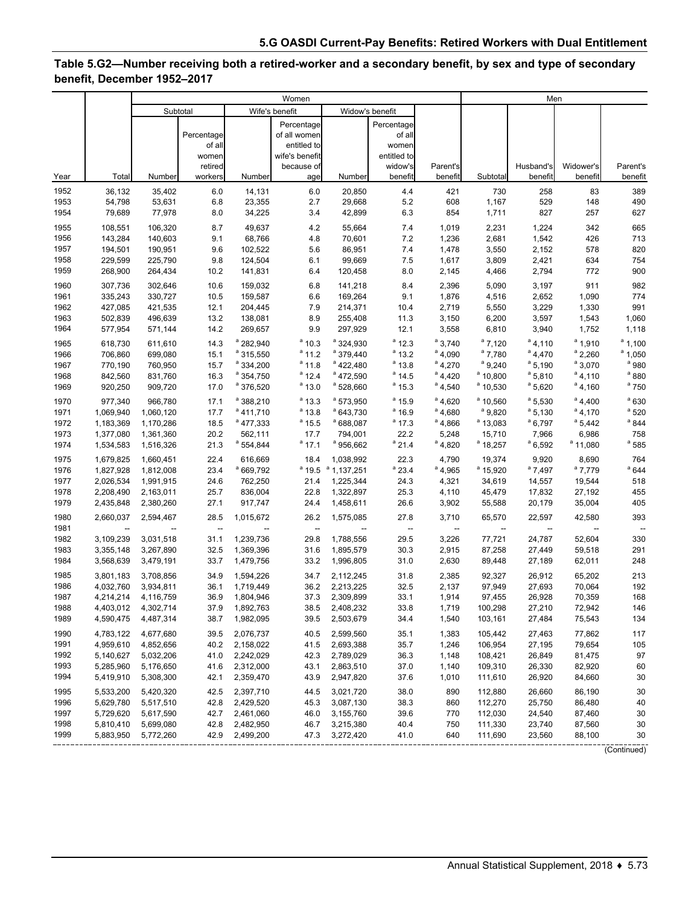### **Table 5.G2—Number receiving both a retired-worker and a secondary benefit, by sex and type of secondary benefit, December 1952–2017**

|      |                          |                          |                          |                          | Women             |                          |                          |                          | Men                      |                          |                          |                |  |
|------|--------------------------|--------------------------|--------------------------|--------------------------|-------------------|--------------------------|--------------------------|--------------------------|--------------------------|--------------------------|--------------------------|----------------|--|
|      |                          |                          | Subtotal                 |                          | Wife's benefit    | Widow's benefit          |                          |                          |                          |                          |                          |                |  |
|      |                          |                          |                          |                          | Percentage        |                          | Percentage               |                          |                          |                          |                          |                |  |
|      |                          |                          | Percentage               |                          | of all women      |                          | of all                   |                          |                          |                          |                          |                |  |
|      |                          |                          | of all                   |                          | entitled to       |                          | women                    |                          |                          |                          |                          |                |  |
|      |                          |                          | women                    |                          | wife's benefit    |                          | entitled to              |                          |                          |                          |                          |                |  |
|      |                          |                          | retired                  |                          | because of        |                          | widow's                  | Parent's                 |                          | Husband's                | Widower's                | Parent's       |  |
| Year | Total                    | Number                   | workers                  | Number                   | age               | <b>Number</b>            | benefit                  | benefit                  | Subtotal                 | benefit                  | benefit                  | benefit        |  |
| 1952 | 36,132                   | 35,402                   | 6.0                      | 14,131                   | $6.0\,$           | 20,850                   | 4.4                      | 421                      | 730                      | 258                      | 83                       | 389            |  |
| 1953 | 54,798                   | 53,631                   | 6.8                      | 23,355                   | 2.7               | 29,668                   | 5.2                      | 608                      | 1,167                    | 529                      | 148                      | 490            |  |
| 1954 | 79,689                   | 77,978                   | 8.0                      | 34,225                   | 3.4               | 42,899                   | 6.3                      | 854                      | 1,711                    | 827                      | 257                      | 627            |  |
| 1955 | 108,551                  | 106,320                  | 8.7                      | 49,637                   | 4.2               | 55,664                   | 7.4                      | 1,019                    | 2,231                    | 1,224                    | 342                      | 665            |  |
| 1956 | 143,284                  | 140,603                  | 9.1                      | 68,766                   | 4.8               | 70,601                   | 7.2                      | 1,236                    | 2,681                    | 1,542                    | 426                      | 713            |  |
| 1957 | 194,501                  | 190,951                  | 9.6                      | 102,522                  | 5.6               | 86,951                   | 7.4                      | 1,478                    | 3,550                    | 2,152                    | 578                      | 820            |  |
| 1958 | 229,599                  | 225,790                  | 9.8                      | 124,504                  | 6.1               | 99,669                   | 7.5                      | 1,617                    | 3,809                    | 2,421                    | 634                      | 754            |  |
| 1959 | 268,900                  | 264,434                  | 10.2                     | 141,831                  | 6.4               | 120,458                  | 8.0                      | 2,145                    | 4,466                    | 2,794                    | 772                      | 900            |  |
| 1960 | 307,736                  | 302,646                  | 10.6                     | 159,032                  | 6.8               | 141,218                  | 8.4                      | 2,396                    | 5,090                    | 3,197                    | 911                      | 982            |  |
| 1961 | 335,243                  | 330,727                  | 10.5                     | 159,587                  | 6.6               | 169,264                  | 9.1                      | 1,876                    | 4,516                    | 2,652                    | 1,090                    | 774            |  |
| 1962 | 427,085                  | 421,535                  | 12.1                     | 204,445                  | 7.9               | 214,371                  | 10.4                     | 2,719                    | 5,550                    | 3,229                    | 1,330                    | 991            |  |
| 1963 | 502,839                  | 496,639                  | 13.2                     | 138,081                  | 8.9               | 255,408                  | 11.3                     | 3,150                    | 6,200                    | 3,597                    | 1,543                    | 1,060          |  |
| 1964 | 577,954                  | 571,144                  | 14.2                     | 269,657                  | 9.9               | 297,929                  | 12.1                     | 3,558                    | 6,810                    | 3,940                    | 1,752                    | 1,118          |  |
| 1965 | 618,730                  | 611,610                  | 14.3                     | $a$ 282,940              | $a_{10.3}$        | <sup>a</sup> 324,930     | $a_{12.3}$               | $a$ 3.740                | $a$ 7,120                | $a_{4,110}$              | $a$ 1,910                | $a$ 1,100      |  |
| 1966 | 706,860                  | 699,080                  | 15.1                     | <sup>a</sup> 315,550     | $a_{11.2}$        | <sup>a</sup> 379,440     | $a$ 13.2                 | $a_{4,090}$              | $a$ 7,780                | $a_{4,470}$              | $a$ 2,260                | $a$ 1,050      |  |
| 1967 | 770,190                  | 760,950                  | 15.7                     | $^4$ 334,200             | $a_{11.8}$        | $a$ 422.480              | $a_{13.8}$               | $a_{4,270}$              | $a$ 9,240                | $a$ 5,190                | $a$ 3,070                | $^{\circ}$ 980 |  |
| 1968 | 842,560                  | 831,760                  | 16.3                     | <sup>a</sup> 354,750     | $a_{12.4}$        | <sup>a</sup> 472,590     | $a$ 14.5                 | $a_{4,420}$              | $a$ 10,800               | $a$ 5,810                | $a_{4,110}$              | $^{\circ}$ 880 |  |
| 1969 | 920,250                  | 909,720                  | 17.0                     | <sup>a</sup> 376,520     | $a_{13.0}$        | $a$ 528,660              | $a$ 15.3                 | $a$ 4,540                | $a$ 10,530               | $^a$ 5,620               | $a$ 4,160                | $^{\circ}$ 750 |  |
| 1970 | 977,340                  | 966,780                  | 17.1                     | <sup>a</sup> 388,210     | $a_{13.3}$        | <sup>a</sup> 573,950     | $a$ 15.9                 | $a_{4.620}$              | $a$ 10.560               | $a$ 5,530                | $a$ 4,400                | $a$ 630        |  |
| 1971 | 1,069,940                | 1,060,120                | 17.7                     | $a$ 411,710              | $a_{13.8}$        | <sup>a</sup> 643,730     | $a$ 16.9                 | $a_{4,680}$              | $a$ 9,820                | $a$ 5,130                | $a$ 4,170                | $^{\circ}$ 520 |  |
| 1972 | 1,183,369                | 1,170,286                | 18.5                     | $^a$ 477,333             | $a$ 15.5          | <sup>a</sup> 688,087     | $a_{17.3}$               | $^a$ 4,866               | $a$ 13,083               | $a$ 6,797                | $a$ 5,442                | $a$ 844        |  |
| 1973 | 1,377,080                | 1,361,360                | 20.2                     | 562,111                  | 17.7              | 794,001                  | 22.2                     | 5,248                    | 15,710                   | 7,966                    | 6,986                    | 758            |  |
| 1974 | 1,534,583                | 1,516,326                | 21.3                     | $^a$ 554,844             | $a$ 17.1          | <sup>a</sup> 956,662     | $a_{21.4}$               | $a_{4,820}$              | $^a$ 18,257              | $a$ 6,592                | $^a$ 11,080              | $a$ 585        |  |
| 1975 | 1,679,825                | 1,660,451                | 22.4                     | 616,669                  | 18.4              | 1,038,992                | 22.3                     | 4,790                    | 19,374                   | 9,920                    | 8,690                    | 764            |  |
| 1976 | 1,827,928                | 1,812,008                | 23.4                     | <sup>a</sup> 669,792     | $^{\circ}$ 19.5   | $a$ 1,137,251            | $a$ 23.4                 | $^{\circ}$ 4,965         | <sup>a</sup> 15,920      | $^a$ 7,497               | <sup>a</sup> 7,779       | $a$ 644        |  |
| 1977 | 2,026,534                | 1,991,915                | 24.6                     | 762,250                  | 21.4              | 1,225,344                | 24.3                     | 4,321                    | 34,619                   | 14,557                   | 19,544                   | 518            |  |
| 1978 | 2,208,490                | 2,163,011                | 25.7                     | 836,004                  | 22.8              | 1,322,897                | 25.3                     | 4,110                    | 45,479                   | 17,832                   | 27,192                   | 455            |  |
| 1979 | 2,435,848                | 2,380,260                | 27.1                     | 917,747                  | 24.4              | 1,458,611                | 26.6                     | 3,902                    | 55,588                   | 20,179                   | 35,004                   | 405            |  |
| 1980 | 2,660,037                | 2,594,467                | 28.5                     | 1,015,672                | 26.2              | 1,575,085                | 27.8                     | 3,710                    | 65,570                   | 22,597                   | 42,580                   | 393            |  |
| 1981 | $\overline{\phantom{a}}$ | $\overline{\phantom{a}}$ | $\overline{\phantom{a}}$ | $\overline{\phantom{a}}$ | $\qquad \qquad -$ | $\overline{\phantom{a}}$ | $\overline{\phantom{a}}$ | $\overline{\phantom{a}}$ | $\overline{\phantom{a}}$ | $\overline{\phantom{a}}$ | $\overline{\phantom{a}}$ |                |  |
| 1982 | 3,109,239                | 3,031,518                | 31.1                     | 1,239,736                | 29.8              | 1,788,556                | 29.5                     | 3,226                    | 77,721                   | 24,787                   | 52,604                   | 330            |  |
| 1983 | 3,355,148                | 3,267,890                | 32.5                     | 1,369,396                | 31.6              | 1,895,579                | 30.3                     | 2,915                    | 87,258                   | 27,449                   | 59,518                   | 291            |  |
| 1984 | 3,568,639                | 3,479,191                | 33.7                     | 1,479,756                | 33.2              | 1,996,805                | 31.0                     | 2,630                    | 89,448                   | 27,189                   | 62,011                   | 248            |  |
| 1985 | 3,801,183                | 3,708,856                | 34.9                     | 1,594,226                | 34.7              | 2,112,245                | 31.8                     | 2,385                    | 92,327                   | 26,912                   | 65,202                   | 213            |  |
| 1986 | 4,032,760                | 3,934,811                | 36.1                     | 1,719,449                | 36.2              | 2,213,225                | 32.5                     | 2,137                    | 97,949                   | 27,693                   | 70,064                   | 192            |  |
| 1987 | 4,214,214                | 4,116,759                | 36.9                     | 1,804,946                | 37.3              | 2,309,899                | 33.1                     | 1,914                    | 97,455                   | 26,928                   | 70,359                   | 168            |  |
| 1988 | 4,403,012                | 4,302,714                | 37.9                     | 1,892,763                | 38.5              | 2,408,232                | 33.8                     | 1,719                    | 100,298                  | 27,210                   | 72,942                   | 146            |  |
| 1989 | 4,590,475                | 4,487,314                | 38.7                     | 1,982,095                | 39.5              | 2,503,679                | 34.4                     | 1,540                    | 103,161                  | 27,484                   | 75,543                   | 134            |  |
| 1990 | 4,783,122                | 4,677,680                | 39.5                     | 2,076,737                | 40.5              | 2,599,560                | 35.1                     | 1,383                    | 105,442                  | 27,463                   | 77,862                   | 117            |  |
| 1991 | 4,959,610                | 4,852,656                | 40.2                     | 2,158,022                | 41.5              | 2,693,388                | 35.7                     | 1,246                    | 106,954                  | 27,195                   | 79,654                   | 105            |  |
| 1992 | 5,140,627                | 5,032,206                | 41.0                     | 2,242,029                | 42.3              | 2,789,029                | 36.3                     | 1,148                    | 108,421                  | 26,849                   | 81,475                   | 97             |  |
| 1993 | 5,285,960                | 5,176,650                | 41.6                     | 2,312,000                | 43.1              | 2,863,510                | 37.0                     | 1,140                    | 109,310                  | 26,330                   | 82,920                   | 60             |  |
| 1994 | 5,419,910                | 5,308,300                | 42.1                     | 2,359,470                | 43.9              | 2,947,820                | 37.6                     | 1,010                    | 111,610                  | 26,920                   | 84,660                   | 30             |  |
| 1995 | 5,533,200                | 5,420,320                | 42.5                     | 2,397,710                | 44.5              | 3,021,720                | 38.0                     | 890                      | 112,880                  | 26,660                   | 86,190                   | 30             |  |
| 1996 | 5,629,780                | 5,517,510                | 42.8                     | 2,429,520                | 45.3              | 3,087,130                | 38.3                     | 860                      | 112,270                  | 25,750                   | 86,480                   | 40             |  |
| 1997 | 5,729,620                | 5,617,590                | 42.7                     | 2,461,060                | 46.0              | 3,155,760                | 39.6                     | 770                      | 112,030                  | 24,540                   | 87,460                   | 30             |  |
| 1998 | 5,810,410                | 5,699,080                | 42.8                     | 2,482,950                | 46.7              | 3,215,380                | 40.4                     | 750                      | 111,330                  | 23,740                   | 87,560                   | 30             |  |
| 1999 | 5,883,950                | 5,772,260                | 42.9                     | 2,499,200                | 47.3              | 3,272,420                | 41.0                     | 640                      | 111,690                  | 23,560                   | 88,100                   | 30             |  |

(Continued)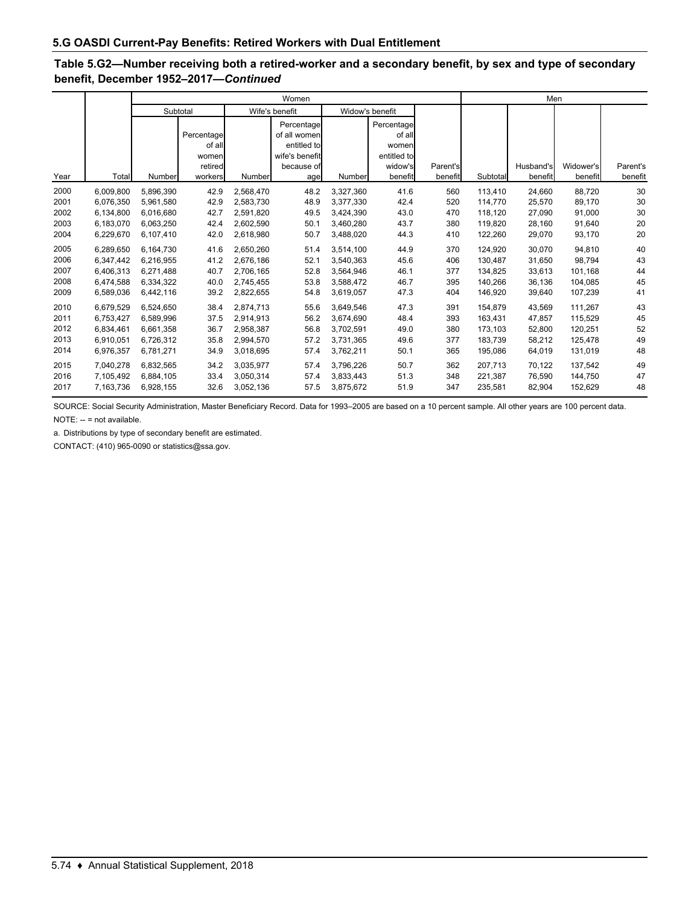### **Table 5.G2—Number receiving both a retired-worker and a secondary benefit, by sex and type of secondary benefit, December 1952–2017—***Continued*

|      |           |           |            |                                   | Women          |           |             |          | Men      |           |           |          |  |
|------|-----------|-----------|------------|-----------------------------------|----------------|-----------|-------------|----------|----------|-----------|-----------|----------|--|
|      |           |           | Subtotal   | Wife's benefit<br>Widow's benefit |                |           |             |          |          |           |           |          |  |
|      |           |           |            |                                   | Percentage     |           | Percentage  |          |          |           |           |          |  |
|      |           |           | Percentage |                                   | of all women   |           | of all      |          |          |           |           |          |  |
|      |           |           | of all     |                                   | entitled to    |           | women       |          |          |           |           |          |  |
|      |           |           | women      |                                   | wife's benefit |           | entitled to |          |          |           |           |          |  |
|      |           |           | retired    |                                   | because of     |           | widow's     | Parent's |          | Husband's | Widower's | Parent's |  |
| Year | Total     | Number    | workers    | Number                            | age            | Number    | benefit     | benefit  | Subtotal | benefit   | benefit   | benefit  |  |
| 2000 | 6,009,800 | 5,896,390 | 42.9       | 2,568,470                         | 48.2           | 3,327,360 | 41.6        | 560      | 113.410  | 24,660    | 88,720    | 30       |  |
| 2001 | 6.076.350 | 5.961.580 | 42.9       | 2.583.730                         | 48.9           | 3.377.330 | 42.4        | 520      | 114,770  | 25.570    | 89,170    | 30       |  |
| 2002 | 6,134,800 | 6,016,680 | 42.7       | 2,591,820                         | 49.5           | 3,424,390 | 43.0        | 470      | 118,120  | 27,090    | 91,000    | 30       |  |
| 2003 | 6,183,070 | 6,063,250 | 42.4       | 2,602,590                         | 50.1           | 3,460,280 | 43.7        | 380      | 119.820  | 28,160    | 91,640    | 20       |  |
| 2004 | 6,229,670 | 6,107,410 | 42.0       | 2,618,980                         | 50.7           | 3,488,020 | 44.3        | 410      | 122,260  | 29,070    | 93,170    | 20       |  |
| 2005 | 6.289.650 | 6.164.730 | 41.6       | 2,650,260                         | 51.4           | 3.514.100 | 44.9        | 370      | 124.920  | 30.070    | 94.810    | 40       |  |
| 2006 | 6,347,442 | 6,216,955 | 41.2       | 2,676,186                         | 52.1           | 3,540,363 | 45.6        | 406      | 130.487  | 31,650    | 98,794    | 43       |  |
| 2007 | 6,406,313 | 6,271,488 | 40.7       | 2,706,165                         | 52.8           | 3,564,946 | 46.1        | 377      | 134,825  | 33,613    | 101,168   | 44       |  |
| 2008 | 6,474,588 | 6,334,322 | 40.0       | 2,745,455                         | 53.8           | 3.588.472 | 46.7        | 395      | 140.266  | 36,136    | 104,085   | 45       |  |
| 2009 | 6,589,036 | 6,442,116 | 39.2       | 2,822,655                         | 54.8           | 3,619,057 | 47.3        | 404      | 146,920  | 39,640    | 107,239   | 41       |  |
| 2010 | 6.679.529 | 6.524.650 | 38.4       | 2.874.713                         | 55.6           | 3.649.546 | 47.3        | 391      | 154.879  | 43,569    | 111,267   | 43       |  |
| 2011 | 6,753,427 | 6,589,996 | 37.5       | 2,914,913                         | 56.2           | 3,674,690 | 48.4        | 393      | 163.431  | 47,857    | 115,529   | 45       |  |
| 2012 | 6,834,461 | 6,661,358 | 36.7       | 2,958,387                         | 56.8           | 3,702,591 | 49.0        | 380      | 173.103  | 52,800    | 120,251   | 52       |  |
| 2013 | 6,910,051 | 6,726,312 | 35.8       | 2,994,570                         | 57.2           | 3,731,365 | 49.6        | 377      | 183,739  | 58,212    | 125,478   | 49       |  |
| 2014 | 6,976,357 | 6,781,271 | 34.9       | 3,018,695                         | 57.4           | 3,762,211 | 50.1        | 365      | 195,086  | 64,019    | 131,019   | 48       |  |
| 2015 | 7,040,278 | 6,832,565 | 34.2       | 3,035,977                         | 57.4           | 3,796,226 | 50.7        | 362      | 207.713  | 70,122    | 137,542   | 49       |  |
| 2016 | 7,105,492 | 6,884,105 | 33.4       | 3,050,314                         | 57.4           | 3,833,443 | 51.3        | 348      | 221.387  | 76,590    | 144,750   | 47       |  |
| 2017 | 7,163,736 | 6,928,155 | 32.6       | 3,052,136                         | 57.5           | 3,875,672 | 51.9        | 347      | 235,581  | 82,904    | 152,629   | 48       |  |

SOURCE: Social Security Administration, Master Beneficiary Record. Data for 1993–2005 are based on a 10 percent sample. All other years are 100 percent data. NOTE: -- = not available.

a. Distributions by type of secondary benefit are estimated.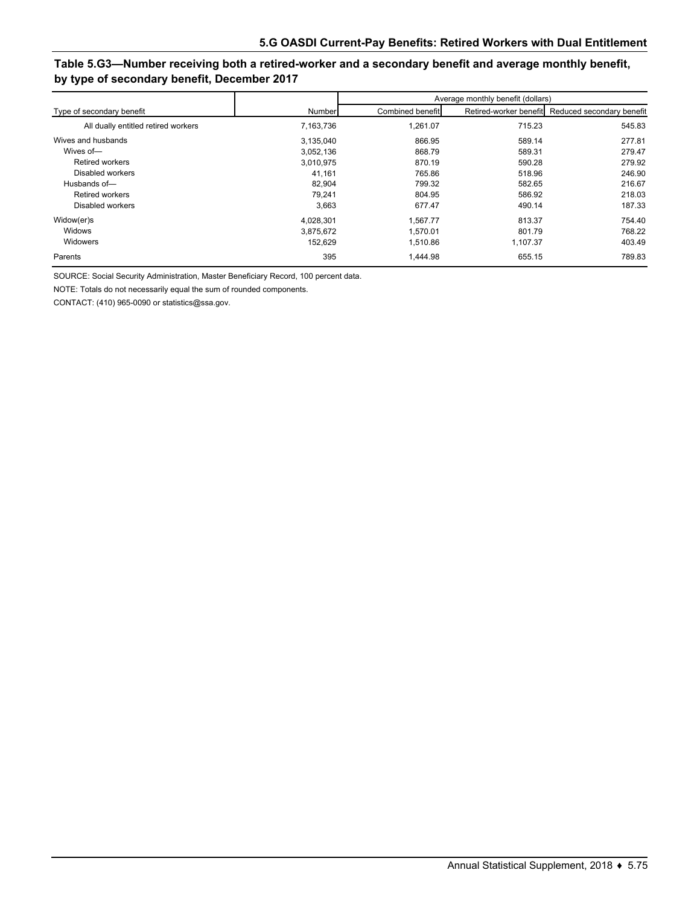### **Table 5.G3—Number receiving both a retired-worker and a secondary benefit and average monthly benefit, by type of secondary benefit, December 2017**

|                                     |           |                  | Average monthly benefit (dollars) |                                                  |  |  |
|-------------------------------------|-----------|------------------|-----------------------------------|--------------------------------------------------|--|--|
| Type of secondary benefit           | Number    | Combined benefit |                                   | Retired-worker benefit Reduced secondary benefit |  |  |
| All dually entitled retired workers | 7,163,736 | 1,261.07         | 715.23                            | 545.83                                           |  |  |
| Wives and husbands                  | 3,135,040 | 866.95           | 589.14                            | 277.81                                           |  |  |
| Wives of-                           | 3.052.136 | 868.79           | 589.31                            | 279.47                                           |  |  |
| <b>Retired workers</b>              | 3.010.975 | 870.19           | 590.28                            | 279.92                                           |  |  |
| Disabled workers                    | 41.161    | 765.86           | 518.96                            | 246.90                                           |  |  |
| Husbands of-                        | 82,904    | 799.32           | 582.65                            | 216.67                                           |  |  |
| <b>Retired workers</b>              | 79.241    | 804.95           | 586.92                            | 218.03                                           |  |  |
| Disabled workers                    | 3,663     | 677.47           | 490.14                            | 187.33                                           |  |  |
| Widow(er)s                          | 4,028,301 | 1.567.77         | 813.37                            | 754.40                                           |  |  |
| Widows                              | 3.875.672 | 1.570.01         | 801.79                            | 768.22                                           |  |  |
| Widowers                            | 152,629   | 1,510.86         | 1,107.37                          | 403.49                                           |  |  |
| Parents                             | 395       | 1.444.98         | 655.15                            | 789.83                                           |  |  |

SOURCE: Social Security Administration, Master Beneficiary Record, 100 percent data.

NOTE: Totals do not necessarily equal the sum of rounded components.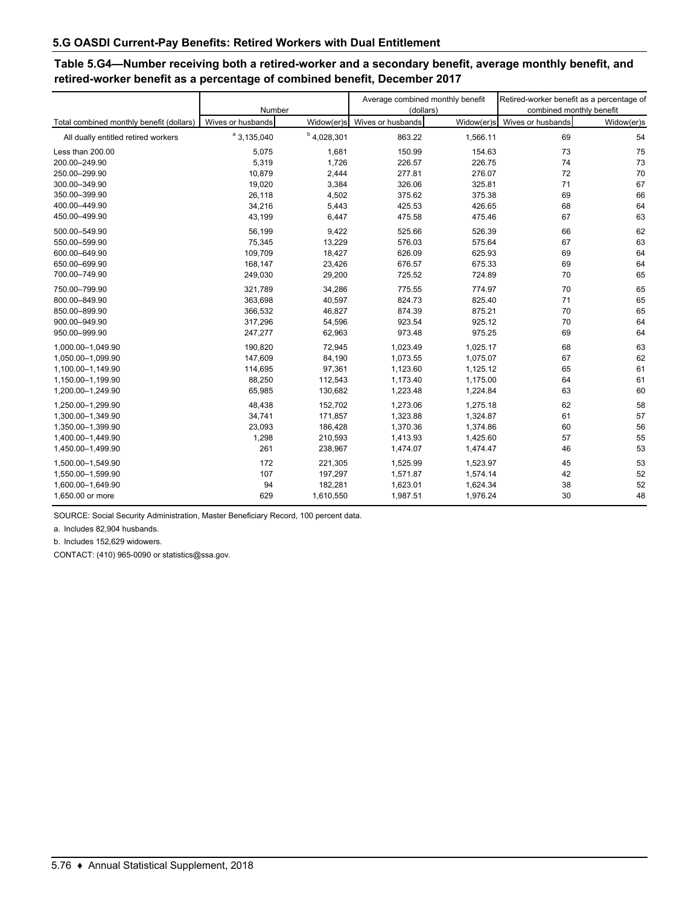### **Table 5.G4—Number receiving both a retired-worker and a secondary benefit, average monthly benefit, and retired-worker benefit as a percentage of combined benefit, December 2017**

|                                          | Number            |               | Average combined monthly benefit<br>(dollars) |            | Retired-worker benefit as a percentage of<br>combined monthly benefit |            |  |
|------------------------------------------|-------------------|---------------|-----------------------------------------------|------------|-----------------------------------------------------------------------|------------|--|
| Total combined monthly benefit (dollars) | Wives or husbands | Widow(er)s    | Wives or husbands                             | Widow(er)s | Wives or husbands                                                     | Widow(er)s |  |
| All dually entitled retired workers      | $a$ 3, 135, 040   | $b$ 4,028,301 | 863.22                                        | 1,566.11   | 69                                                                    | 54         |  |
| Less than 200.00                         | 5,075             | 1,681         | 150.99                                        | 154.63     | 73                                                                    | 75         |  |
| 200.00-249.90                            | 5,319             | 1,726         | 226.57                                        | 226.75     | 74                                                                    | 73         |  |
| 250.00-299.90                            | 10,879            | 2,444         | 277.81                                        | 276.07     | 72                                                                    | 70         |  |
| 300.00-349.90                            | 19,020            | 3,384         | 326.06                                        | 325.81     | 71                                                                    | 67         |  |
| 350.00-399.90                            | 26,118            | 4,502         | 375.62                                        | 375.38     | 69                                                                    | 66         |  |
| 400.00-449.90                            | 34,216            | 5,443         | 425.53                                        | 426.65     | 68                                                                    | 64         |  |
| 450.00-499.90                            | 43,199            | 6,447         | 475.58                                        | 475.46     | 67                                                                    | 63         |  |
| 500.00-549.90                            | 56,199            | 9,422         | 525.66                                        | 526.39     | 66                                                                    | 62         |  |
| 550.00-599.90                            | 75,345            | 13,229        | 576.03                                        | 575.64     | 67                                                                    | 63         |  |
| 600.00-649.90                            | 109,709           | 18,427        | 626.09                                        | 625.93     | 69                                                                    | 64         |  |
| 650.00-699.90                            | 168,147           | 23,426        | 676.57                                        | 675.33     | 69                                                                    | 64         |  |
| 700.00-749.90                            | 249,030           | 29,200        | 725.52                                        | 724.89     | 70                                                                    | 65         |  |
| 750.00-799.90                            | 321,789           | 34,286        | 775.55                                        | 774.97     | 70                                                                    | 65         |  |
| 800.00-849.90                            | 363,698           | 40,597        | 824.73                                        | 825.40     | 71                                                                    | 65         |  |
| 850.00-899.90                            | 366,532           | 46,827        | 874.39                                        | 875.21     | 70                                                                    | 65         |  |
| 900.00-949.90                            | 317,296           | 54,596        | 923.54                                        | 925.12     | 70                                                                    | 64         |  |
| 950.00-999.90                            | 247,277           | 62,963        | 973.48                                        | 975.25     | 69                                                                    | 64         |  |
| 1,000.00-1,049.90                        | 190,820           | 72,945        | 1,023.49                                      | 1,025.17   | 68                                                                    | 63         |  |
| 1,050.00-1,099.90                        | 147,609           | 84,190        | 1,073.55                                      | 1,075.07   | 67                                                                    | 62         |  |
| 1,100.00-1,149.90                        | 114,695           | 97,361        | 1,123.60                                      | 1,125.12   | 65                                                                    | 61         |  |
| 1,150.00-1,199.90                        | 88,250            | 112,543       | 1,173.40                                      | 1,175.00   | 64                                                                    | 61         |  |
| 1,200.00-1,249.90                        | 65,985            | 130,682       | 1,223.48                                      | 1,224.84   | 63                                                                    | 60         |  |
| 1,250.00-1,299.90                        | 48,438            | 152,702       | 1,273.06                                      | 1,275.18   | 62                                                                    | 58         |  |
| 1,300.00-1,349.90                        | 34,741            | 171,857       | 1,323.88                                      | 1,324.87   | 61                                                                    | 57         |  |
| 1,350.00-1,399.90                        | 23,093            | 186,428       | 1,370.36                                      | 1,374.86   | 60                                                                    | 56         |  |
| 1,400.00-1,449.90                        | 1,298             | 210,593       | 1,413.93                                      | 1,425.60   | 57                                                                    | 55         |  |
| 1,450.00-1,499.90                        | 261               | 238,967       | 1,474.07                                      | 1,474.47   | 46                                                                    | 53         |  |
| 1,500.00-1,549.90                        | 172               | 221,305       | 1,525.99                                      | 1,523.97   | 45                                                                    | 53         |  |
| 1,550.00-1,599.90                        | 107               | 197,297       | 1,571.87                                      | 1,574.14   | 42                                                                    | 52         |  |
| 1,600.00-1,649.90                        | 94                | 182,281       | 1,623.01                                      | 1,624.34   | 38                                                                    | 52         |  |
| 1,650.00 or more                         | 629               | 1,610,550     | 1,987.51                                      | 1,976.24   | 30                                                                    | 48         |  |

SOURCE: Social Security Administration, Master Beneficiary Record, 100 percent data.

a. Includes 82,904 husbands.

b. Includes 152,629 widowers.